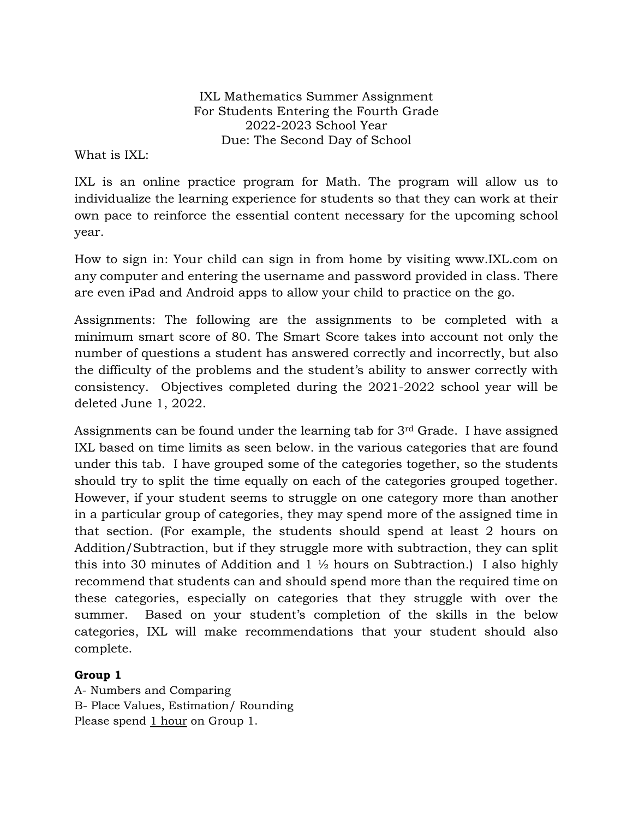IXL Mathematics Summer Assignment For Students Entering the Fourth Grade 2022-2023 School Year Due: The Second Day of School

What is IXL:

IXL is an online practice program for Math. The program will allow us to individualize the learning experience for students so that they can work at their own pace to reinforce the essential content necessary for the upcoming school year.

How to sign in: Your child can sign in from home by visiting www.IXL.com on any computer and entering the username and password provided in class. There are even iPad and Android apps to allow your child to practice on the go.

Assignments: The following are the assignments to be completed with a minimum smart score of 80. The Smart Score takes into account not only the number of questions a student has answered correctly and incorrectly, but also the difficulty of the problems and the student's ability to answer correctly with consistency. Objectives completed during the 2021-2022 school year will be deleted June 1, 2022.

Assignments can be found under the learning tab for 3rd Grade. I have assigned IXL based on time limits as seen below. in the various categories that are found under this tab. I have grouped some of the categories together, so the students should try to split the time equally on each of the categories grouped together. However, if your student seems to struggle on one category more than another in a particular group of categories, they may spend more of the assigned time in that section. (For example, the students should spend at least 2 hours on Addition/Subtraction, but if they struggle more with subtraction, they can split this into 30 minutes of Addition and  $1\frac{1}{2}$  hours on Subtraction.) I also highly recommend that students can and should spend more than the required time on these categories, especially on categories that they struggle with over the summer. Based on your student's completion of the skills in the below categories, IXL will make recommendations that your student should also complete.

# **Group 1**

A- Numbers and Comparing B- Place Values, Estimation/ Rounding Please spend 1 hour on Group 1.